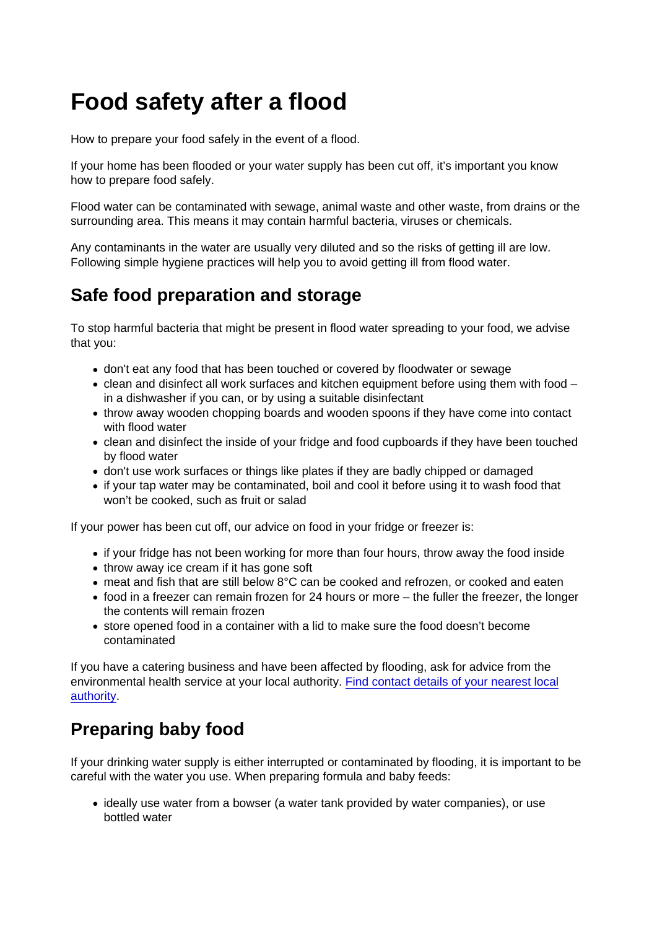# Food safety after a flood

How to prepare your food safely in the event of a flood.

If your home has been flooded or your water supply has been cut off, it's important you know how to prepare food safely.

Flood water can be contaminated with sewage, animal waste and other waste, from drains or the surrounding area. This means it may contain harmful bacteria, viruses or chemicals.

Any contaminants in the water are usually very diluted and so the risks of getting ill are low. Following simple hygiene practices will help you to avoid getting ill from flood water.

### Safe food preparation and storage

To stop harmful bacteria that might be present in flood water spreading to your food, we advise that you:

- don't eat any food that has been touched or covered by floodwater or sewage
- $\bullet$  clean and disinfect all work surfaces and kitchen equipment before using them with food  $$ in a dishwasher if you can, or by using a suitable disinfectant
- throw away wooden chopping boards and wooden spoons if they have come into contact with flood water
- clean and disinfect the inside of your fridge and food cupboards if they have been touched by flood water
- don't use work surfaces or things like plates if they are badly chipped or damaged
- if your tap water may be contaminated, boil and cool it before using it to wash food that won't be cooked, such as fruit or salad

If your power has been cut off, our advice on food in your fridge or freezer is:

- if your fridge has not been working for more than four hours, throw away the food inside
- $\bullet$  throw away ice cream if it has gone soft
- meat and fish that are still below 8°C can be cooked and refrozen, or cooked and eaten
- $\bullet$  food in a freezer can remain frozen for 24 hours or more the fuller the freezer, the longer the contents will remain frozen
- store opened food in a container with a lid to make sure the food doesn't become contaminated

If you have a catering business and have been affected by flooding, ask for advice from the environmental health service at your local authority. [Find contact details of your nearest local](https://www.food.gov.uk/contact/businesses/find-details/contact-a-food-safety-team) [authority](https://www.food.gov.uk/contact/businesses/find-details/contact-a-food-safety-team).

### Preparing baby food

If your drinking water supply is either interrupted or contaminated by flooding, it is important to be careful with the water you use. When preparing formula and baby feeds:

• ideally use water from a bowser (a water tank provided by water companies), or use bottled water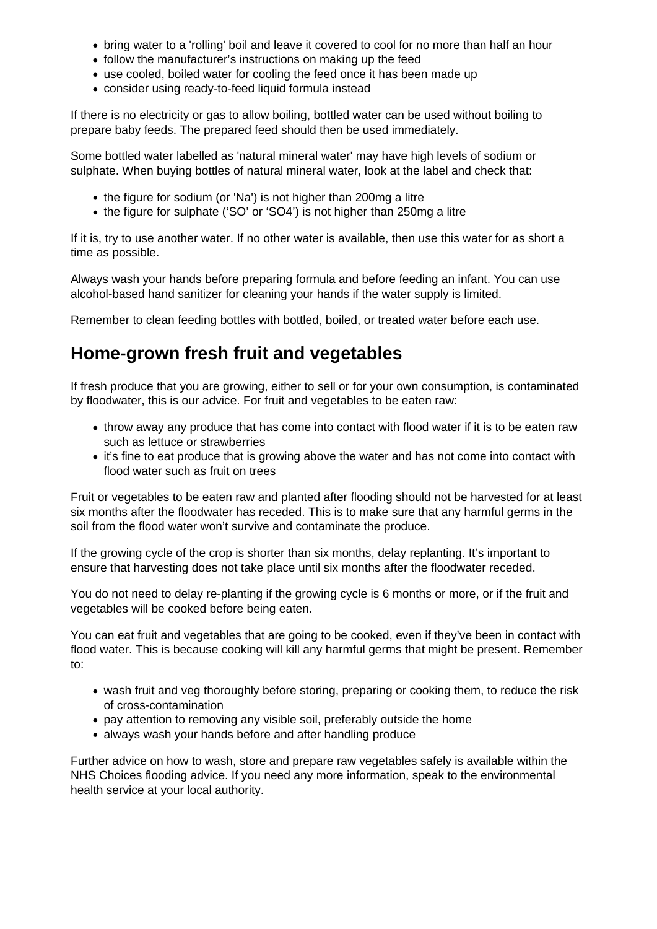- bring water to a 'rolling' boil and leave it covered to cool for no more than half an hour
- follow the manufacturer's instructions on making up the feed
- use cooled, boiled water for cooling the feed once it has been made up
- consider using ready-to-feed liquid formula instead

If there is no electricity or gas to allow boiling, bottled water can be used without boiling to prepare baby feeds. The prepared feed should then be used immediately.

Some bottled water labelled as 'natural mineral water' may have high levels of sodium or sulphate. When buying bottles of natural mineral water, look at the label and check that:

- the figure for sodium (or 'Na') is not higher than 200mg a litre
- the figure for sulphate ('SO' or 'SO4') is not higher than 250mg a litre

If it is, try to use another water. If no other water is available, then use this water for as short a time as possible.

Always wash your hands before preparing formula and before feeding an infant. You can use alcohol-based hand sanitizer for cleaning your hands if the water supply is limited.

Remember to clean feeding bottles with bottled, boiled, or treated water before each use.

#### **Home-grown fresh fruit and vegetables**

If fresh produce that you are growing, either to sell or for your own consumption, is contaminated by floodwater, this is our advice. For fruit and vegetables to be eaten raw:

- throw away any produce that has come into contact with flood water if it is to be eaten raw such as lettuce or strawberries
- it's fine to eat produce that is growing above the water and has not come into contact with flood water such as fruit on trees

Fruit or vegetables to be eaten raw and planted after flooding should not be harvested for at least six months after the floodwater has receded. This is to make sure that any harmful germs in the soil from the flood water won't survive and contaminate the produce.

If the growing cycle of the crop is shorter than six months, delay replanting. It's important to ensure that harvesting does not take place until six months after the floodwater receded.

You do not need to delay re-planting if the growing cycle is 6 months or more, or if the fruit and vegetables will be cooked before being eaten.

You can eat fruit and vegetables that are going to be cooked, even if they've been in contact with flood water. This is because cooking will kill any harmful germs that might be present. Remember to:

- wash fruit and veg thoroughly before storing, preparing or cooking them, to reduce the risk of cross-contamination
- pay attention to removing any visible soil, preferably outside the home
- always wash your hands before and after handling produce

Further advice on how to wash, store and prepare raw vegetables safely is available within the NHS Choices flooding advice. If you need any more information, speak to the environmental health service at your local authority.